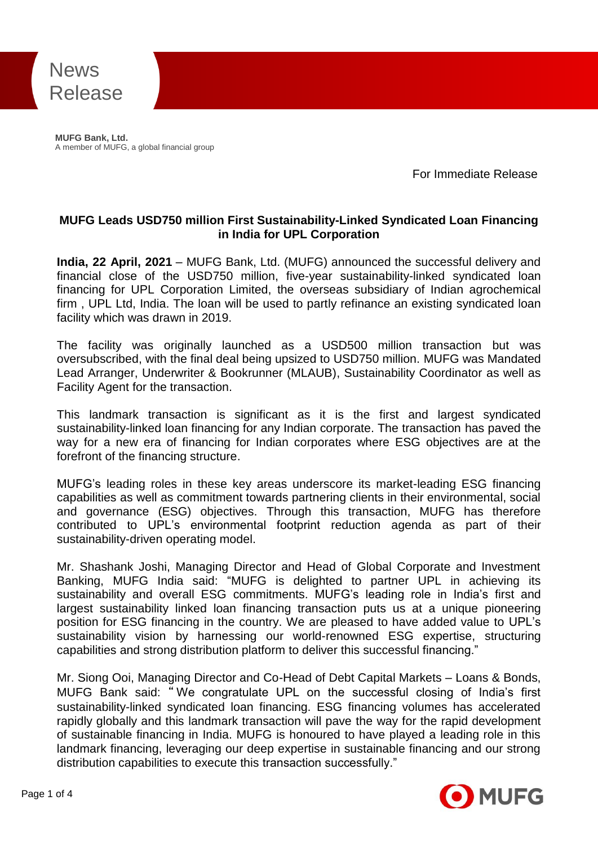

**MUFG Bank, Ltd.**<br>A member of MUFG, a global financial group **MUFG Bank, Ltd.**

For Immediate Release

# **MUFG Leads USD750 million First Sustainability-Linked Syndicated Loan Financing in India for UPL Corporation**

**India, 22 April, 2021** – MUFG Bank, Ltd. (MUFG) announced the successful delivery and financial close of the USD750 million, five-year sustainability-linked syndicated loan financing for UPL Corporation Limited, the overseas subsidiary of Indian agrochemical firm , UPL Ltd, India. The loan will be used to partly refinance an existing syndicated loan facility which was drawn in 2019.

The facility was originally launched as a USD500 million transaction but was oversubscribed, with the final deal being upsized to USD750 million. MUFG was Mandated Lead Arranger, Underwriter & Bookrunner (MLAUB), Sustainability Coordinator as well as Facility Agent for the transaction.

This landmark transaction is significant as it is the first and largest syndicated sustainability-linked loan financing for any Indian corporate. The transaction has paved the way for a new era of financing for Indian corporates where ESG objectives are at the forefront of the financing structure.

MUFG's leading roles in these key areas underscore its market-leading ESG financing capabilities as well as commitment towards partnering clients in their environmental, social and governance (ESG) objectives. Through this transaction, MUFG has therefore contributed to UPL's environmental footprint reduction agenda as part of their sustainability-driven operating model.

Mr. Shashank Joshi, Managing Director and Head of Global Corporate and Investment Banking, MUFG India said: "MUFG is delighted to partner UPL in achieving its sustainability and overall ESG commitments. MUFG's leading role in India's first and largest sustainability linked loan financing transaction puts us at a unique pioneering position for ESG financing in the country. We are pleased to have added value to UPL's sustainability vision by harnessing our world-renowned ESG expertise, structuring capabilities and strong distribution platform to deliver this successful financing."

Mr. Siong Ooi, Managing Director and Co-Head of Debt Capital Markets – Loans & Bonds, MUFG Bank said: " We congratulate UPL on the successful closing of India's first sustainability-linked syndicated loan financing. ESG financing volumes has accelerated rapidly globally and this landmark transaction will pave the way for the rapid development of sustainable financing in India. MUFG is honoured to have played a leading role in this landmark financing, leveraging our deep expertise in sustainable financing and our strong distribution capabilities to execute this transaction successfully."

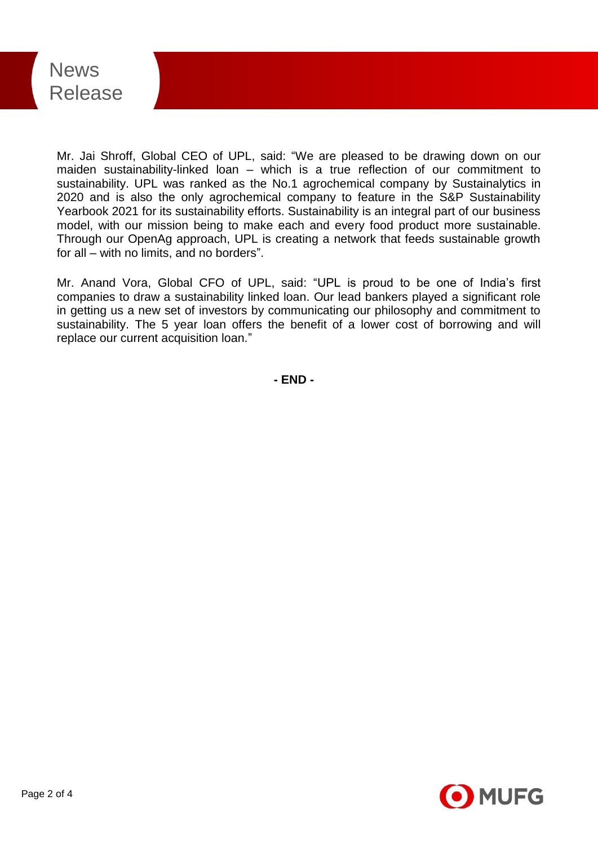

Mr. Jai Shroff, Global CEO of UPL, said: "We are pleased to be drawing down on our maiden sustainability-linked loan – which is a true reflection of our commitment to sustainability. UPL was ranked as the No.1 agrochemical company by Sustainalytics in 2020 and is also the only agrochemical company to feature in the S&P Sustainability Yearbook 2021 for its sustainability efforts. Sustainability is an integral part of our business model, with our mission being to make each and every food product more sustainable. Through our OpenAg approach, UPL is creating a network that feeds sustainable growth for all – with no limits, and no borders".

Mr. Anand Vora, Global CFO of UPL, said: "UPL is proud to be one of India's first companies to draw a sustainability linked loan. Our lead bankers played a significant role in getting us a new set of investors by communicating our philosophy and commitment to sustainability. The 5 year loan offers the benefit of a lower cost of borrowing and will replace our current acquisition loan."

**- END -**

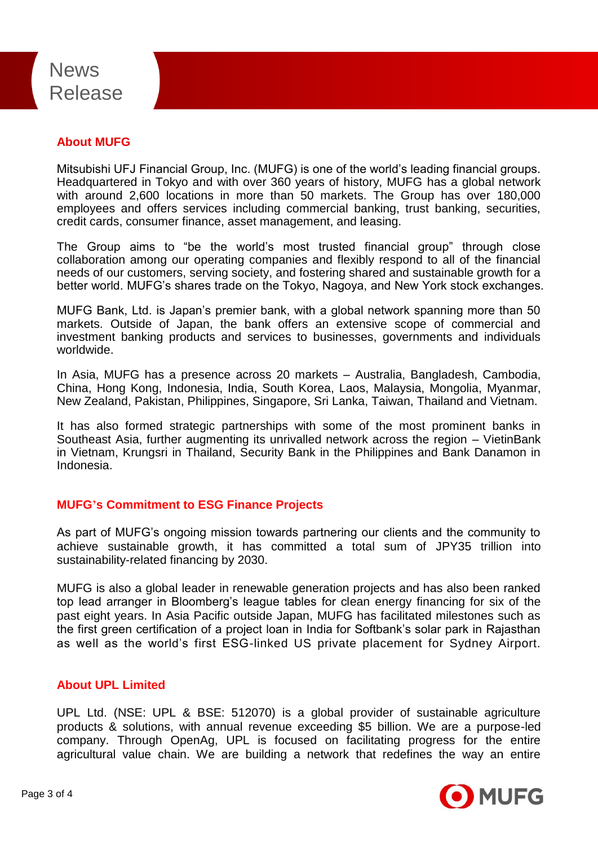# News Release

# **About MUFG**

Mitsubishi UFJ Financial Group, Inc. (MUFG) is one of the world's leading financial groups. Headquartered in Tokyo and with over 360 years of history, MUFG has a global network with around 2,600 locations in more than 50 markets. The Group has over 180,000 employees and offers services including commercial banking, trust banking, securities, credit cards, consumer finance, asset management, and leasing.

The Group aims to "be the world's most trusted financial group" through close collaboration among our operating companies and flexibly respond to all of the financial needs of our customers, serving society, and fostering shared and sustainable growth for a better world. MUFG's shares trade on the Tokyo, Nagoya, and New York stock exchanges.

MUFG Bank, Ltd. is Japan's premier bank, with a global network spanning more than 50 markets. Outside of Japan, the bank offers an extensive scope of commercial and investment banking products and services to businesses, governments and individuals worldwide.

In Asia, MUFG has a presence across 20 markets – Australia, Bangladesh, Cambodia, China, Hong Kong, Indonesia, India, South Korea, Laos, Malaysia, Mongolia, Myanmar, New Zealand, Pakistan, Philippines, Singapore, Sri Lanka, Taiwan, Thailand and Vietnam.

It has also formed strategic partnerships with some of the most prominent banks in Southeast Asia, further augmenting its unrivalled network across the region – VietinBank in Vietnam, Krungsri in Thailand, Security Bank in the Philippines and Bank Danamon in Indonesia.

# **MUFG's Commitment to ESG Finance Projects**

As part of MUFG's ongoing mission towards partnering our clients and the community to achieve sustainable growth, it has committed a total sum of JPY35 trillion into sustainability-related financing by 2030.

MUFG is also a global leader in renewable generation projects and has also been ranked top lead arranger in Bloomberg's league tables for clean energy financing for six of the past eight years. In Asia Pacific outside Japan, MUFG has facilitated milestones such as the first green certification of a project loan in India for Softbank's solar park in Rajasthan as well as the world's first ESG-linked US private placement for Sydney Airport.

### **About UPL Limited**

UPL Ltd. (NSE: UPL & BSE: 512070) is a global provider of sustainable agriculture products & solutions, with annual revenue exceeding \$5 billion. We are a purpose-led company. Through OpenAg, UPL is focused on facilitating progress for the entire agricultural value chain. We are building a network that redefines the way an entire